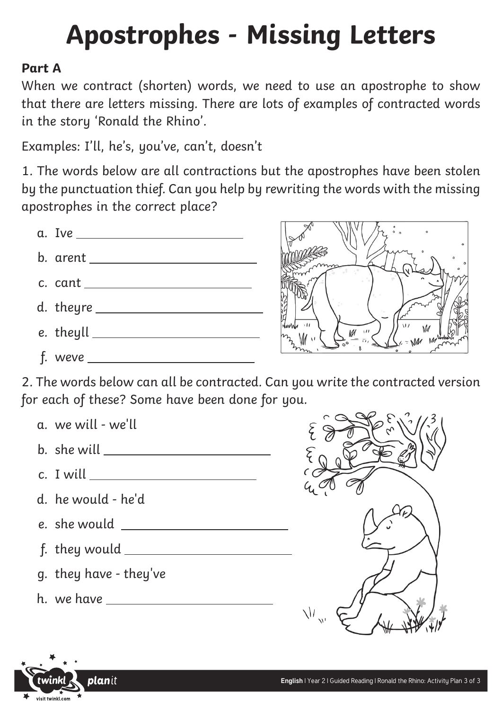### **Part A**

When we contract (shorten) words, we need to use an apostrophe to show that there are letters missing. There are lots of examples of contracted words in the story 'Ronald the Rhino'.

Examples: I'll, he's, you've, can't, doesn't

1. The words below are all contractions but the apostrophes have been stolen by the punctuation thief. Can you help by rewriting the words with the missing apostrophes in the correct place?





2. The words below can all be contracted. Can you write the contracted version for each of these? Some have been done for you.





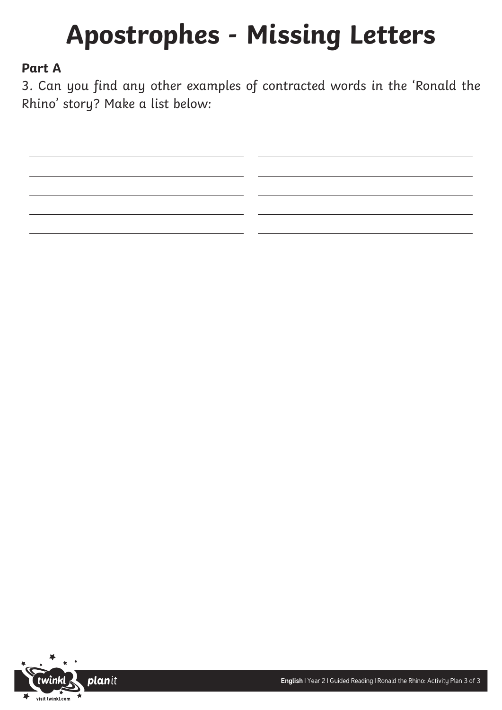### **Part A**

3. Can you find any other examples of contracted words in the 'Ronald the Rhino' story? Make a list below:

planit visit twinkl.com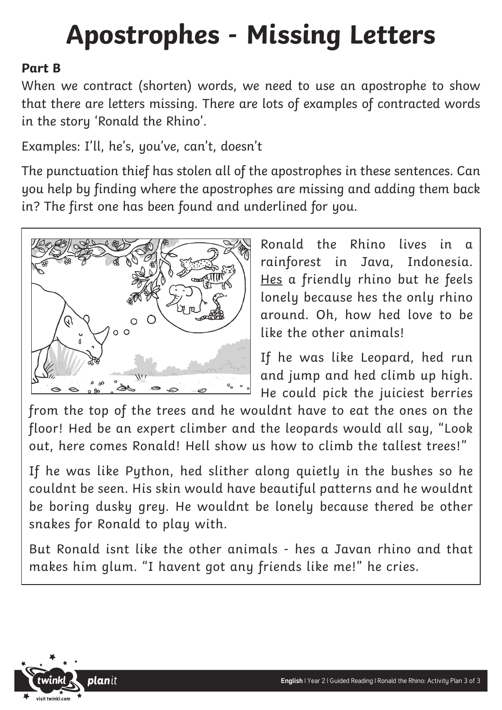### **Part B**

When we contract (shorten) words, we need to use an apostrophe to show that there are letters missing. There are lots of examples of contracted words in the story 'Ronald the Rhino'.

Examples: I'll, he's, you've, can't, doesn't

The punctuation thief has stolen all of the apostrophes in these sentences. Can you help by finding where the apostrophes are missing and adding them back in? The first one has been found and underlined for you.



Ronald the Rhino lives in a rainforest in Java, Indonesia. Hes a friendly rhino but he feels lonely because hes the only rhino around. Oh, how hed love to be like the other animals!

If he was like Leopard, hed run and jump and hed climb up high. He could pick the juiciest berries

from the top of the trees and he wouldnt have to eat the ones on the floor! Hed be an expert climber and the leopards would all say, "Look out, here comes Ronald! Hell show us how to climb the tallest trees!"

If he was like Python, hed slither along quietly in the bushes so he couldnt be seen. His skin would have beautiful patterns and he wouldnt be boring dusky grey. He wouldnt be lonely because thered be other snakes for Ronald to play with.

But Ronald isnt like the other animals - hes a Javan rhino and that makes him glum. "I havent got any friends like me!" he cries.

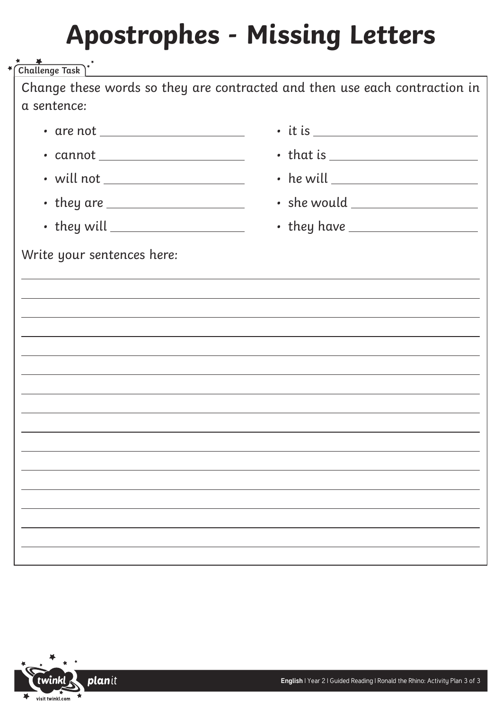Change these words so they are contracted and then use each contraction in a sentence: Write your sentences here: **Challenge Task** • are not • cannot • will not • they are • they will • it is • that is • he will • she would • they have

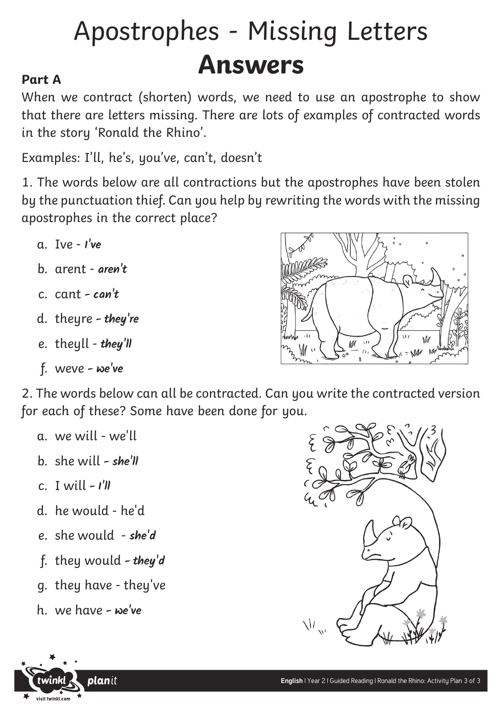## Apostrophes - Missing Letters **Answers**

### **Part A**

When we contract (shorten) words, we need to use an apostrophe to show that there are letters missing. There are lots of examples of contracted words in the story 'Ronald the Rhino'.

Examples: I'll, he's, you've, can't, doesn't

1. The words below are all contractions but the apostrophes have been stolen by the punctuation thief. Can you help by rewriting the words with the missing apostrophes in the correct place?

- a. Ive  $-l'$ **ve**
- b. arent **aren't**
- c. cant  **can't**
- d. theyre  **they're**
- e. theyll **they'll**
- f. weve  **we've**

2. The words below can all be contracted. Can you write the contracted version for each of these? Some have been done for you.

- a. we will we'll
- b. she will  **she'll**
- c. I will  **I'll**
- d. he would he'd
- e. she would **she'd**
- f. they would  **they'd**
- g. they have they've
- h. we have  **we've**





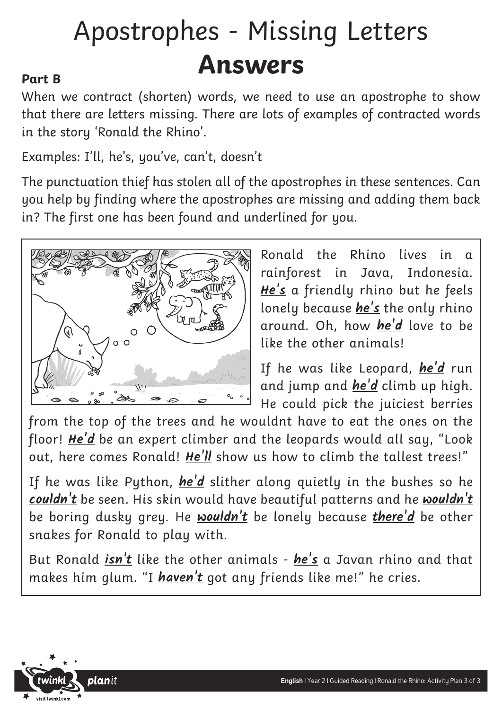## Apostrophes - Missing Letters **Answers**

### **Part B**

When we contract (shorten) words, we need to use an apostrophe to show that there are letters missing. There are lots of examples of contracted words in the story 'Ronald the Rhino'.

Examples: I'll, he's, you've, can't, doesn't

The punctuation thief has stolen all of the apostrophes in these sentences. Can you help by finding where the apostrophes are missing and adding them back in? The first one has been found and underlined for you.



Ronald the Rhino lives in a rainforest in Java, Indonesia. **He's** a friendly rhino but he feels lonely because **he's** the only rhino around. Oh, how **he'd** love to be like the other animals!

If he was like Leopard, **he'd** run and jump and **he'd** climb up high. He could pick the juiciest berries

from the top of the trees and he wouldnt have to eat the ones on the floor! **He'd** be an expert climber and the leopards would all say, "Look out, here comes Ronald! **He'll** show us how to climb the tallest trees!"

If he was like Python, **he'd** slither along quietly in the bushes so he **couldn't** be seen. His skin would have beautiful patterns and he **wouldn't** be boring dusky grey. He **wouldn't** be lonely because **there'd** be other snakes for Ronald to play with.

But Ronald **isn't** like the other animals - **he's** a Javan rhino and that makes him glum. "I **haven't** got any friends like me!" he cries.